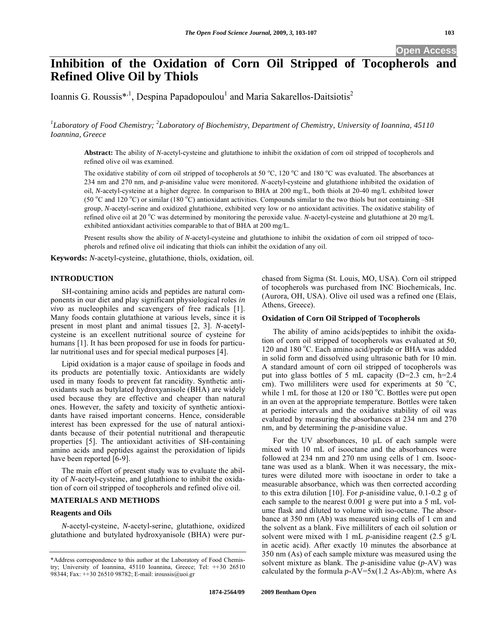# **Open Access**

# **Inhibition of the Oxidation of Corn Oil Stripped of Tocopherols and Refined Olive Oil by Thiols**

Ioannis G. Roussis\*<sup>,1</sup>, Despina Papadopoulou<sup>1</sup> and Maria Sakarellos-Daitsiotis<sup>2</sup>

<sup>1</sup>Laboratory of Food Chemistry; <sup>2</sup>Laboratory of Biochemistry, Department of Chemistry, University of Ioannina, 45110 *Ioannina, Greece* 

**Abstract:** The ability of *N*-acetyl-cysteine and glutathione to inhibit the oxidation of corn oil stripped of tocopherols and refined olive oil was examined.

The oxidative stability of corn oil stripped of tocopherols at 50  $^{\circ}$ C, 120  $^{\circ}$ C and 180  $^{\circ}$ C was evaluated. The absorbances at 234 nm and 270 nm, and *p*-anisidine value were monitored. *N*-acetyl-cysteine and glutathione inhibited the oxidation of oil, *N*-acetyl-cysteine at a higher degree. In comparison to BHA at 200 mg/L, both thiols at 20-40 mg/L exhibited lower (50 °C and 120 °C) or similar (180 °C) antioxidant activities. Compounds similar to the two thiols but not containing –SH group, *N*-acetyl-serine and oxidized glutathione, exhibited very low or no antioxidant activities. The oxidative stability of refined olive oil at 20 °C was determined by monitoring the peroxide value. *N*-acetyl-cysteine and glutathione at 20 mg/L exhibited antioxidant activities comparable to that of BHA at 200 mg/L.

Present results show the ability of *N*-acetyl-cysteine and glutathione to inhibit the oxidation of corn oil stripped of tocopherols and refined olive oil indicating that thiols can inhibit the oxidation of any oil.

**Keywords:** *N*-acetyl-cysteine, glutathione, thiols, oxidation, oil.

# **INTRODUCTION**

SH-containing amino acids and peptides are natural components in our diet and play significant physiological roles *in vivo* as nucleophiles and scavengers of free radicals [1]. Many foods contain glutathione at various levels, since it is present in most plant and animal tissues [2, 3]. *N*-acetylcysteine is an excellent nutritional source of cysteine for humans [1]. It has been proposed for use in foods for particular nutritional uses and for special medical purposes [4].

Lipid oxidation is a major cause of spoilage in foods and its products are potentially toxic. Antioxidants are widely used in many foods to prevent fat rancidity. Synthetic antioxidants such as butylated hydroxyanisole (BHA) are widely used because they are effective and cheaper than natural ones. However, the safety and toxicity of synthetic antioxidants have raised important concerns. Hence, considerable interest has been expressed for the use of natural antioxidants because of their potential nutritional and therapeutic properties [5]. The antioxidant activities of SH-containing amino acids and peptides against the peroxidation of lipids have been reported [6-9].

The main effort of present study was to evaluate the ability of *N*-acetyl-cysteine, and glutathione to inhibit the oxidation of corn oil stripped of tocopherols and refined olive oil.

# **MATERIALS AND METHODS**

#### **Reagents and Oils**

*N*-acetyl-cysteine, *N*-acetyl-serine, glutathione, oxidized glutathione and butylated hydroxyanisole (BHA) were purchased from Sigma (St. Louis, MO, USA). Corn oil stripped of tocopherols was purchased from INC Biochemicals, Inc. (Aurora, OH, USA). Olive oil used was a refined one (Elais, Athens, Greece).

#### **Oxidation of Corn Oil Stripped of Tocopherols**

The ability of amino acids/peptides to inhibit the oxidation of corn oil stripped of tocopherols was evaluated at 50, 120 and 180 °C. Each amino acid/peptide or BHA was added in solid form and dissolved using ultrasonic bath for 10 min. A standard amount of corn oil stripped of tocopherols was put into glass bottles of 5 mL capacity (D=2.3 cm, h=2.4 cm). Two milliliters were used for experiments at  $50^{\circ}$ C, while 1 mL for those at 120 or 180 °C. Bottles were put open in an oven at the appropriate temperature. Bottles were taken at periodic intervals and the oxidative stability of oil was evaluated by measuring the absorbances at 234 nm and 270 nm, and by determining the *p*-anisidine value.

For the UV absorbances, 10 μL of each sample were mixed with 10 mL of isooctane and the absorbances were followed at 234 nm and 270 nm using cells of 1 cm. Isooctane was used as a blank. When it was necessary, the mixtures were diluted more with isooctane in order to take a measurable absorbance, which was then corrected according to this extra dilution [10]. For *p*-anisidine value, 0.1-0.2 g of each sample to the nearest 0.001 g were put into a 5 mL volume flask and diluted to volume with iso-octane. The absorbance at 350 nm (Ab) was measured using cells of 1 cm and the solvent as a blank. Five milliliters of each oil solution or solvent were mixed with 1 mL *p*-anisidine reagent (2.5 g/L in acetic acid). After exactly 10 minutes the absorbance at 350 nm (As) of each sample mixture was measured using the solvent mixture as blank. The *p*-anisidine value (*p*-AV) was calculated by the formula *p*-AV=5x(1.2 As-Ab):m, where As

<sup>\*</sup>Address correspondence to this author at the Laboratory of Food Chemistry; University of Ioannina, 45110 Ioannina, Greece; Tel: ++30 26510 98344; Fax: ++30 26510 98782; E-mail: iroussis@uoi.gr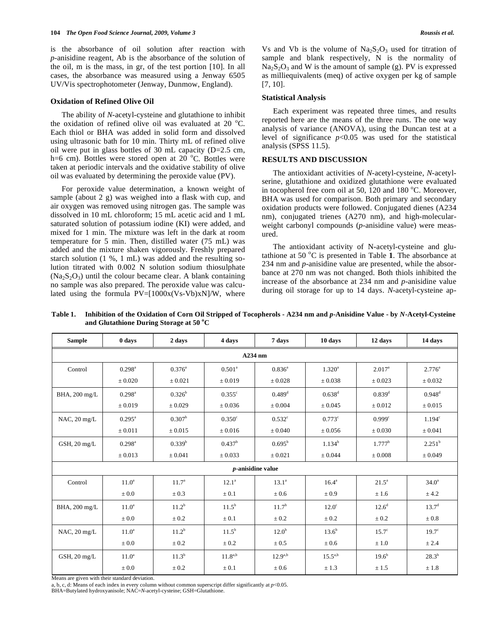is the absorbance of oil solution after reaction with *p*-anisidine reagent, Ab is the absorbance of the solution of the oil, m is the mass, in gr, of the test portion [10]. In all cases, the absorbance was measured using a Jenway 6505 UV/Vis spectrophotometer (Jenway, Dunmow, England).

#### **Oxidation of Refined Olive Oil**

The ability of *N*-acetyl-cysteine and glutathione to inhibit the oxidation of refined olive oil was evaluated at 20  $^{\circ}$ C. Each thiol or BHA was added in solid form and dissolved using ultrasonic bath for 10 min. Thirty mL of refined olive oil were put in glass bottles of 30 mL capacity (D=2.5 cm, h=6 cm). Bottles were stored open at  $20^{\circ}$ C. Bottles were taken at periodic intervals and the oxidative stability of olive oil was evaluated by determining the peroxide value (PV).

For peroxide value determination, a known weight of sample (about 2 g) was weighed into a flask with cup, and air oxygen was removed using nitrogen gas. The sample was dissolved in 10 mL chloroform; 15 mL acetic acid and 1 mL saturated solution of potassium iodine (KI) were added, and mixed for 1 min. The mixture was left in the dark at room temperature for 5 min. Then, distilled water (75 mL) was added and the mixture shaken vigorously. Freshly prepared starch solution (1 %, 1 mL) was added and the resulting solution titrated with 0.002 N solution sodium thiosulphate  $(Na_2S_2O_3)$  until the colour became clear. A blank containing no sample was also prepared. The peroxide value was calculated using the formula  $PV=[1000x(Vs-Vb)xN]/W$ , where Vs and Vb is the volume of  $Na<sub>2</sub>S<sub>2</sub>O<sub>3</sub>$  used for titration of sample and blank respectively, N is the normality of  $Na<sub>2</sub>S<sub>2</sub>O<sub>3</sub>$  and W is the amount of sample (g). PV is expressed as milliequivalents (meq) of active oxygen per kg of sample [7, 10].

#### **Statistical Analysis**

Each experiment was repeated three times, and results reported here are the means of the three runs. The one way analysis of variance (ANOVA), using the Duncan test at a level of significance *p*<0.05 was used for the statistical analysis (SPSS 11.5).

# **RESULTS AND DISCUSSION**

The antioxidant activities of *N*-acetyl-cysteine, *N*-acetylserine, glutathione and oxidized glutathione were evaluated in tocopherol free corn oil at 50,  $120$  and 180 °C. Moreover, BHA was used for comparison. Both primary and secondary oxidation products were followed. Conjugated dienes (A234 nm), conjugated trienes (A270 nm), and high-molecularweight carbonyl compounds (*p*-anisidine value) were measured.

The antioxidant activity of N-acetyl-cysteine and glutathione at 50  $^{\circ}$ C is presented in Table 1. The absorbance at 234 nm and *p*-anisidine value are presented, while the absorbance at 270 nm was not changed. Both thiols inhibited the increase of the absorbance at 234 nm and *p*-anisidine value during oil storage for up to 14 days. *N*-acetyl-cysteine ap-

| <b>Sample</b>          | 0 days               | 2 days            | 4 days                               | 7 days               | 10 days         | 12 days            | 14 days            |  |  |
|------------------------|----------------------|-------------------|--------------------------------------|----------------------|-----------------|--------------------|--------------------|--|--|
| $A234$ nm              |                      |                   |                                      |                      |                 |                    |                    |  |  |
| Control                | $0.298^{\text{a}}$   | $0.376^a$         | $0.501^{\circ}$                      | $0.836^{\circ}$      | $1.320^a$       | $2.017^{\circ}$    | $2.776^{a}$        |  |  |
|                        | ± 0.020              | ± 0.021           | ± 0.019                              | ± 0.028              | ± 0.038         | ± 0.023            | ± 0.032            |  |  |
| BHA, 200 mg/L          | $0.298^{\rm a}$      | $0.326^{\rm b}$   | $0.355^{\circ}$                      | $0.489$ <sup>d</sup> | $0.638^d$       | $0.839^{d}$        | $0.948^d$          |  |  |
|                        | $\pm 0.019$          | $\pm 0.029$       | $\pm 0.036$                          | $\pm 0.004$          | $\pm 0.045$     | $\pm 0.012$        | $\pm 0.015$        |  |  |
| NAC, 20 mg/L           | $0.295^{\text{a}}$   | $0.307^{\rm b}$   | 0.350 <sup>c</sup>                   | $0.532$ <sup>c</sup> | $0.773^{\circ}$ | 0.999 <sup>c</sup> | 1.194 <sup>c</sup> |  |  |
|                        | $\pm 0.011$          | $\pm 0.015$       | $\pm 0.016$                          | $\pm 0.040$          | $\pm 0.056$     | $\pm 0.030$        | $\pm 0.041$        |  |  |
| GSH, $20 \text{ mg/L}$ | $0.298$ <sup>a</sup> | $0.339^{b}$       | $0.437^{\rm b}$                      | $0.695^{\rm b}$      | $1.134^{b}$     | $1.777^{\rm b}$    | $2.251^b$          |  |  |
|                        | $\pm 0.013$          | $\pm 0.041$       | $\pm 0.033$                          | $\pm 0.021$          | $\pm 0.044$     | $\pm 0.008$        | $\pm 0.049$        |  |  |
|                        |                      |                   |                                      | $p$ -anisidine value |                 |                    |                    |  |  |
| Control                | $11.0^a$             | 11.7 <sup>a</sup> | $12.1^a$                             | $13.1^a$             | $16.4^{\circ}$  | $21.5^{\circ}$     | $34.0^{\circ}$     |  |  |
|                        | $\pm 0.0$            | $\pm 0.3$         | $\pm 0.1$                            | $\pm 0.6$            | $\pm 0.9$       | ±1.6               | ± 4.2              |  |  |
| BHA, 200 mg/L          | 11.0 <sup>a</sup>    | $11.2^b$          | $11.5^{\rm b}$                       | 11.7 <sup>b</sup>    | $12.0^\circ$    | $12.6^d$           | $13.7^d$           |  |  |
|                        | $\pm 0.0$            | $\pm 0.2$         | $\pm 0.1$                            | $\pm 0.2$            | $\pm\,0.2$      | $\pm 0.2$          | $\pm 0.8$          |  |  |
| $NAC$ , 20 mg/L        | 11.0 <sup>a</sup>    | $11.2^b$          | $11.5^{\rm b}$                       | 12.0 <sup>b</sup>    | $13.6^{b}$      | $15.7^\circ$       | $19.7^\circ$       |  |  |
|                        | $\pm 0.0$            | $\pm 0.2$         | $\pm 0.2$                            | $\pm 0.5$            | $\pm 0.6$       | $\pm 1.0$          | ± 2.4              |  |  |
| GSH, $20 \text{ mg/L}$ | 11.0 <sup>a</sup>    | $11.3^{b}$        | $11.8^{\scriptscriptstyle{\rm a,b}}$ | $12.9^{a,b}$         | $15.5^{a,b}$    | $19.6^{b}$         | $28.3^b$           |  |  |
|                        | $\pm 0.0$            | $\pm$ 0.2         | $\pm 0.1$                            | $\pm 0.6$            | ± 1.3           | ± 1.5              | $\pm$ 1.8          |  |  |

**Table 1. Inhibition of the Oxidation of Corn Oil Stripped of Tocopherols - A234 nm and** *p***-Anisidine Value - by** *N***-Acetyl-Cysteine**  and Glutathione During Storage at 50 °C

Means are given with their standard deviation.

a, b, c, d: Means of each index in every column without common superscript differ significantly at *p*<0.05.

BHA=Butylated hydroxyanisole; NAC=*N*-acetyl-cysteine; GSH=Glutathione.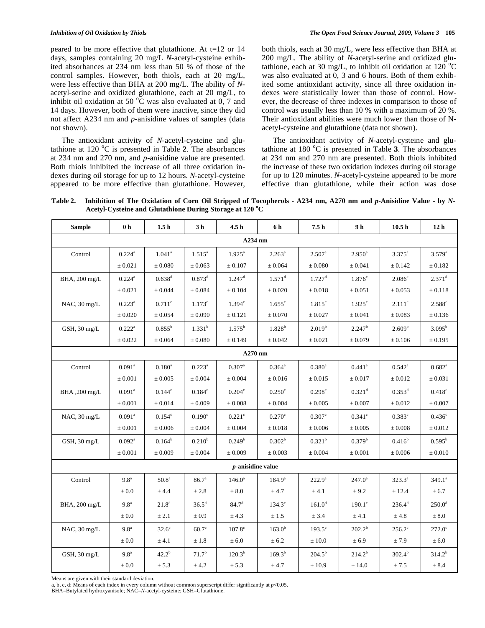peared to be more effective that glutathione. At t=12 or 14 days, samples containing 20 mg/L *N*-acetyl-cysteine exhibited absorbances at 234 nm less than 50 % of those of the control samples. However, both thiols, each at 20 mg/L, were less effective than BHA at 200 mg/L. The ability of *N*acetyl-serine and oxidized glutathione, each at 20 mg/L, to inhibit oil oxidation at 50  $\degree$ C was also evaluated at 0, 7 and 14 days. However, both of them were inactive, since they did not affect A234 nm and *p*-anisidine values of samples (data not shown).

The antioxidant activity of *N*-acetyl-cysteine and glutathione at 120 °C is presented in Table 2. The absorbances at 234 nm and 270 nm, and *p*-anisidine value are presented. Both thiols inhibited the increase of all three oxidation indexes during oil storage for up to 12 hours. *N*-acetyl-cysteine appeared to be more effective than glutathione. However,

both thiols, each at 30 mg/L, were less effective than BHA at 200 mg/L. The ability of *N*-acetyl-serine and oxidized glutathione, each at 30 mg/L, to inhibit oil oxidation at 120 °C was also evaluated at 0, 3 and 6 hours. Both of them exhibited some antioxidant activity, since all three oxidation indexes were statistically lower than those of control. However, the decrease of three indexes in comparison to those of control was usually less than 10 % with a maximum of 20 %. Their antioxidant abilities were much lower than those of Nacetyl-cysteine and glutathione (data not shown).

The antioxidant activity of *N*-acetyl-cysteine and glutathione at 180 °C is presented in Table 3. The absorbances at 234 nm and 270 nm are presented. Both thiols inhibited the increase of these two oxidation indexes during oil storage for up to 120 minutes. *N*-acetyl-cysteine appeared to be more effective than glutathione, while their action was dose

**Table 2. Inhibition of The Oxidation of Corn Oil Stripped of Tocopherols - A234 nm, A270 nm and** *p***-Anisidine Value - by** *N***-**Acetyl-Cysteine and Glutathione During Storage at 120 °C

| <b>Sample</b> | 0 <sub>h</sub>       | 1.5 <sub>h</sub>     | 3 <sub>h</sub>    | 4.5 <sub>h</sub>     | 6 h                  | 7.5 <sub>h</sub>     | 9h                   | 10.5 <sub>h</sub>    | 12 <sub>h</sub>      |
|---------------|----------------------|----------------------|-------------------|----------------------|----------------------|----------------------|----------------------|----------------------|----------------------|
| $A234$ nm     |                      |                      |                   |                      |                      |                      |                      |                      |                      |
| Control       | $0.224$ <sup>a</sup> | $1.041$ <sup>a</sup> | $1.515^a$         | $1.925^{\circ}$      | $2.263^{\circ}$      | $2.507^{\circ}$      | $2.950^a$            | $3.375^a$            | $3.579^{a}$          |
|               | $\pm 0.021$          | $\pm 0.080$          | $\pm 0.063$       | $\pm$ 0.107          | $\pm 0.064$          | $\pm 0.080$          | $\pm 0.041$          | ± 0.142              | $\pm\,0.182$         |
| BHA, 200 mg/L | $0.224^{a}$          | $0.638^{\rm d}$      | $0.873^d$         | $1.247^{\rm d}$      | $1.571$ <sup>d</sup> | $1.727$ <sup>d</sup> | $1.876$ <sup>c</sup> | 2.086 <sup>c</sup>   | $2.371$ <sup>d</sup> |
|               | $\pm 0.021$          | $\pm 0.044$          | $\pm 0.084$       | $\pm 0.104$          | $\pm 0.020$          | $\pm 0.018$          | $\pm 0.051$          | $\pm 0.053$          | ± 0.118              |
| NAC, 30 mg/L  | $0.223^a$            | $0.711^{\circ}$      | $1.173^{\circ}$   | $1.394^c$            | $1.655^{\circ}$      | $1.815^{\circ}$      | $1.925^{\circ}$      | $2.111$ <sup>c</sup> | $2.588^c$            |
|               | ± 0.020              | ± 0.054              | ± 0.090           | ± 0.121              | ± 0.070              | $\pm 0.027$          | ± 0.041              | $\pm 0.083$          | ± 0.136              |
| GSH, 30 mg/L  | $0.222^a$            | $0.855^{\rm b}$      | $1.331^{b}$       | $1.575^{\rm b}$      | $1.828^{b}$          | $2.019^{b}$          | $2.247^b$            | 2.609 <sup>b</sup>   | $3.095^{b}$          |
|               | $\pm 0.022$          | $\pm 0.064$          | $\pm 0.080$       | ± 0.149              | $\pm 0.042$          | $\pm 0.021$          | $\pm 0.079$          | ± 0.106              | ± 0.195              |
|               |                      |                      |                   | A270 nm              |                      |                      |                      |                      |                      |
| Control       | $0.091$ <sup>a</sup> | $0.180^a$            | $0.223^a$         | $0.307$ <sup>a</sup> | $0.364^a$            | $0.380^a$            | $0.441$ <sup>a</sup> | $0.542^a$            | $0.682$ <sup>a</sup> |
|               | $\pm 0.001$          | $\pm 0.005$          | ± 0.004           | $\pm 0.004$          | $\pm 0.016$          | $\pm 0.015$          | ± 0.017              | $\pm 0.012$          | $\pm 0.031$          |
| BHA ,200 mg/L | $0.091$ <sup>a</sup> | $0.144^{\circ}$      | $0.184^c$         | 0.204 <sup>c</sup>   | 0.250 <sup>c</sup>   | $0.298$ <sup>c</sup> | $0.321$ <sup>d</sup> | $0.353^d$            | 0.418 <sup>c</sup>   |
|               | $\pm 0.001$          | $\pm 0.014$          | $\pm 0.009$       | $\pm 0.008$          | $\pm 0.004$          | $\pm 0.005$          | $\pm 0.007$          | ± 0.012              | $\pm 0.007$          |
| NAC, 30 mg/L  | $0.091$ <sup>a</sup> | $0.154^{\circ}$      | $0.190^{\circ}$   | $0.221$ <sup>c</sup> | $0.270^{\circ}$      | $0.307^{\circ}$      | $0.341$ <sup>c</sup> | $0.383$ <sup>c</sup> | $0.436^{\circ}$      |
|               | $\pm 0.001$          | $\pm 0.006$          | $\pm 0.004$       | $\pm 0.004$          | $\pm 0.018$          | $\pm 0.006$          | $\pm 0.005$          | $\pm 0.008$          | $\pm 0.012$          |
| GSH, 30 mg/L  | $0.092^{\text{a}}$   | $0.164^b$            | $0.210^{b}$       | 0.249 <sup>b</sup>   | $0.302^b$            | 0.321 <sup>b</sup>   | $0.379^{\rm b}$      | $0.416^b$            | $0.595^{\rm b}$      |
|               | $\pm 0.001$          | $\pm 0.009$          | $\pm 0.004$       | $\pm 0.009$          | $\pm 0.003$          | $\pm 0.004$          | $\pm 0.001$          | $\pm 0.006$          | $\pm 0.010$          |
|               |                      |                      |                   | $p$ -anisidine value |                      |                      |                      |                      |                      |
| Control       | 9.8 <sup>a</sup>     | 50.8 <sup>a</sup>    | 86.7 <sup>a</sup> | $146.0^{\circ}$      | $184.9^{\circ}$      | $222.9^{\circ}$      | $247.0^{\circ}$      | $323.3^{a}$          | 349.1 <sup>a</sup>   |
|               | $\pm 0.0$            | ± 4.4                | $\pm\,2.8$        | $\pm 8.0$            | ± 4.7                | $\pm$ 4.1            | ± 9.2                | ± 12.4               | $\pm$ 6.7            |
| BHA, 200 mg/L | 9.8 <sup>a</sup>     | $21.8^{d}$           | $36.5^{\rm d}$    | $84.7^{\rm d}$       | $134.3^{\circ}$      | $161.0^{\rm d}$      | $190.1^\circ$        | $236.4^d$            | $250.0^{\rm d}$      |
|               | $\pm 0.0$            | ± 2.1                | $\pm 0.9$         | ± 4.3                | ± 1.5                | ± 3.4                | $\pm\,4.1$           | $\pm$ 4.8            | $\pm 8.0$            |
| NAC, 30 mg/L  | 9.8 <sup>a</sup>     | $32.6^\circ$         | $60.7^\circ$      | $107.8$ c            | $163.0^{b}$          | $193.5^\circ$        | $202.2^{b}$          | $256.2^{\circ}$      | $272.0^{\circ}$      |
|               | $\pm 0.0$            | ± 4.1                | $\pm~1.8$         | $\pm 6.0$            | ± 6.2                | ± 10.0               | ± 6.9                | ± 7.9                | $\pm 6.0$            |
| GSH, 30 mg/L  | 9.8 <sup>a</sup>     | $42.2^{b}$           | 71.7 <sup>b</sup> | $120.3^{b}$          | $169.3^{b}$          | $204.5^{b}$          | $214.2^{b}$          | $302.4^{b}$          | $314.2^{b}$          |
|               | $\pm 0.0$            | ± 5.3                | ± 4.2             | ± 5.3                | ± 4.7                | $\pm$ 10.9           | ± 14.0               | $\pm$ 7.5            | ± 8.4                |

Means are given with their standard deviation.

a, b, c, d: Means of each index in every column without common superscript differ significantly at *p*<0.05.

BHA=Butylated hydroxyanisole; NAC=*N*-acetyl-cysteine; GSH=Glutathione.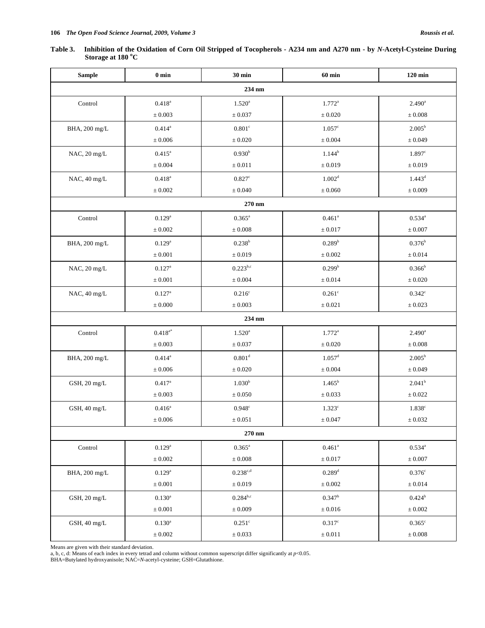| Table 3. Inhibition of the Oxidation of Corn Oil Stripped of Tocopherols - A234 nm and A270 nm - by N-Acetyl-Cysteine During |
|------------------------------------------------------------------------------------------------------------------------------|
| Storage at 180 °C                                                                                                            |

| <b>Sample</b>    | $0 \text{ min}$ | <b>30 min</b>        | $60$ min             | $120$ min            |  |  |  |  |  |
|------------------|-----------------|----------------------|----------------------|----------------------|--|--|--|--|--|
| 234 nm           |                 |                      |                      |                      |  |  |  |  |  |
| Control          | $0.418^{\rm a}$ | $1.520^{\circ}$      | $1.772^a$            | $2.490^a$            |  |  |  |  |  |
|                  | $\pm\,0.003$    | $\pm 0.037$          | $\pm 0.020$          | $\pm\,0.008$         |  |  |  |  |  |
| BHA, 200 mg/L    | $0.414^{a}$     | $0.801^{\circ}$      | $1.057$ <sup>c</sup> | $2.005^b$            |  |  |  |  |  |
|                  | $\pm$ 0.006     | $\pm\,0.020$         | $\pm\,0.004$         | $\pm 0.049$          |  |  |  |  |  |
| NAC, 20 mg/L     | $0.415^{\rm a}$ | 0.930 <sup>b</sup>   | $1.144^{b}$          | 1.897c               |  |  |  |  |  |
|                  | $\pm 0.004$     | $\pm\,0.011$         | $\pm\,0.019$         | $\pm 0.019$          |  |  |  |  |  |
| NAC, 40 mg/L     | $0.418^{a}$     | $0.827$ <sup>c</sup> | 1.002 <sup>d</sup>   | $1.443^d$            |  |  |  |  |  |
|                  | $\pm 0.002$     | $\pm\,0.040$         | $\pm\,0.060$         | $\pm 0.009$          |  |  |  |  |  |
| 270 nm           |                 |                      |                      |                      |  |  |  |  |  |
| Control          | $0.129^{a}$     | $0.365^{\rm a}$      | $0.461$ <sup>a</sup> | $0.534^{a}$          |  |  |  |  |  |
|                  | $\pm\,0.002$    | $\pm\,0.008$         | $\pm\,0.017$         | $\pm\,0.007$         |  |  |  |  |  |
| BHA, 200 mg/L    | $0.129^{a}$     | $0.238^{b}$          | $0.289^{b}$          | $0.376^{\rm b}$      |  |  |  |  |  |
|                  | $\pm\,0.001$    | $\pm\,0.019$         | $\pm\,0.002$         | $\pm\,0.014$         |  |  |  |  |  |
| NAC, 20 mg/L     | $0.127^{\rm a}$ | $0.223^{b,c}$        | $0.299^{b}$          | $0.366^{\rm b}$      |  |  |  |  |  |
|                  | $\pm\,0.001$    | $\pm\,0.004$         | $\pm\,0.014$         | $\pm\,0.020$         |  |  |  |  |  |
| NAC, 40 mg/L     | $0.127^{a}$     | 0.216 <sup>c</sup>   | $0.261$ c            | $0.342$ <sup>c</sup> |  |  |  |  |  |
|                  | $\pm\,0.000$    | $\pm\,0.003$         | $\pm 0.021$          | $\pm\,0.023$         |  |  |  |  |  |
|                  |                 | 234 nm               |                      |                      |  |  |  |  |  |
| Control          | $0.418^{a*}$    | $1.520^{\circ}$      | $1.772^a$            | $2.490^{\rm a}$      |  |  |  |  |  |
|                  | $\pm 0.003$     | $\pm 0.037$          | $\pm 0.020$          | $\pm\,0.008$         |  |  |  |  |  |
| BHA, 200 mg/L    | $0.414^a$       | 0.801 <sup>d</sup>   | $1.057^{\rm d}$      | $2.005^b$            |  |  |  |  |  |
|                  | $\pm\,0.006$    | $\pm\,0.020$         | $\pm\,0.004$         | $\pm\,0.049$         |  |  |  |  |  |
| GSH, 20 mg/L     | $0.417^{\circ}$ | 1.030 <sup>b</sup>   | $1.465^{\rm b}$      | 2.041 <sup>b</sup>   |  |  |  |  |  |
|                  | $\pm\,0.003$    | $\pm\,0.050$         | $\pm\,0.033$         | $\pm\,0.022$         |  |  |  |  |  |
| GSH, 40 mg/L     | $0.416^{a}$     | $0.948$ c            | $1.323$ <sup>c</sup> | $1.838^{\circ}$      |  |  |  |  |  |
|                  | $\pm\,0.006$    | $\pm\,0.051$         | $\pm\,0.047$         | $\pm\,0.032$         |  |  |  |  |  |
|                  |                 | 270 nm               |                      |                      |  |  |  |  |  |
| $\mbox{Control}$ | $0.129^{\rm a}$ | $0.365^{\rm a}$      | $0.461^a$            | $0.534^{a}$          |  |  |  |  |  |
|                  | $\pm\,0.002$    | $\pm\,0.008$         | $\pm\,0.017$         | $\pm\,0.007$         |  |  |  |  |  |
| BHA, 200 mg/L    | $0.129^{a}$     | $0.238^{c,d}$        | $0.289 ^{\rm d}$     | $0.376$ c            |  |  |  |  |  |
|                  | $\pm\,0.001$    | $\pm\,0.019$         | $\pm\,0.002$         | $\pm\,0.014$         |  |  |  |  |  |
| GSH, 20 mg/L     | $0.130^{\rm a}$ | $0.284^{b,c}$        | $0.347^{\rm b}$      | $0.424^{b}$          |  |  |  |  |  |
|                  | $\pm\,0.001$    | $\pm\,0.009$         | $\pm\,0.016$         | $\pm\,0.002$         |  |  |  |  |  |
| GSH, 40 mg/L     | $0.130^{\rm a}$ | $0.251^\circ$        | $0.317$ <sup>c</sup> | $0.365^{\circ}$      |  |  |  |  |  |
|                  | $\pm\,0.002$    | $\pm\,0.033$         | $\pm\,0.011$         | $\pm\,0.008$         |  |  |  |  |  |

Means are given with their standard deviation. a, b, c, d: Means of each index in every tetrad and column without common superscript differ significantly at *p*<0.05.

BHA=Butylated hydroxyanisole; NAC=*N*-acetyl-cysteine; GSH=Glutathione.